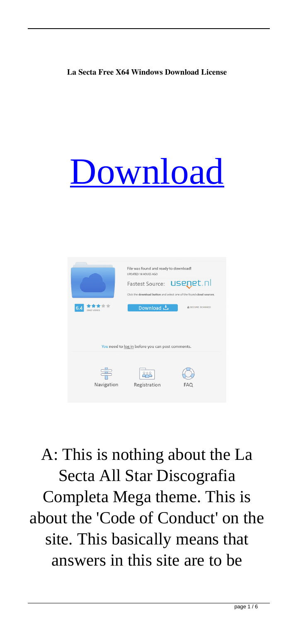## **La Secta Free X64 Windows Download License**

## [Download](http://evacdir.com/bGEgc2VjdGEgYWxsIHN0YXIgZGlzY29ncmFmaWEgY29tcGxldGEgbWVnYQbGE?reelection=sean.buxeres&ZG93bmxvYWR8ZmQ0TW1Kc05ueDhNVFkxTWpjME1EZzJObng4TWpVM05IeDhLRTBwSUhKbFlXUXRZbXh2WnlCYlJtRnpkQ0JIUlU1ZA=hanes)



A: This is nothing about the La Secta All Star Discografia Completa Mega theme. This is about the 'Code of Conduct' on the site. This basically means that answers in this site are to be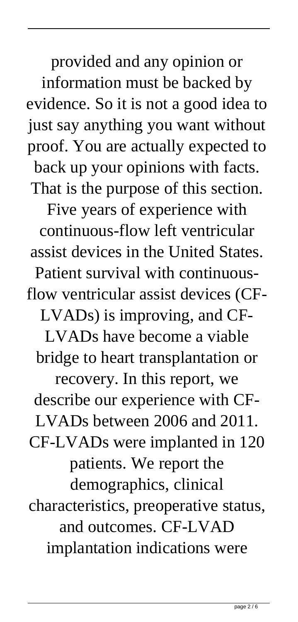provided and any opinion or information must be backed by evidence. So it is not a good idea to just say anything you want without proof. You are actually expected to back up your opinions with facts. That is the purpose of this section. Five years of experience with continuous-flow left ventricular assist devices in the United States. Patient survival with continuousflow ventricular assist devices (CF-LVADs) is improving, and CF-LVADs have become a viable bridge to heart transplantation or recovery. In this report, we describe our experience with CF-LVADs between 2006 and 2011. CF-LVADs were implanted in 120 patients. We report the demographics, clinical characteristics, preoperative status, and outcomes. CF-LVAD implantation indications were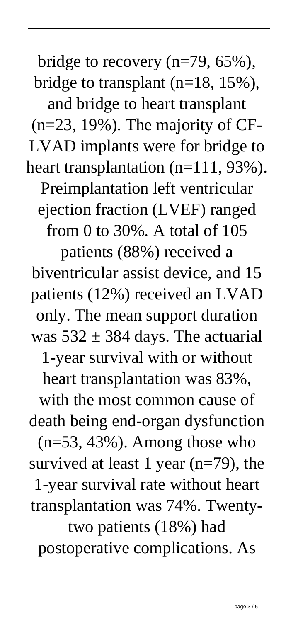bridge to recovery (n=79, 65%), bridge to transplant (n=18, 15%), and bridge to heart transplant (n=23, 19%). The majority of CF-LVAD implants were for bridge to heart transplantation (n=111, 93%). Preimplantation left ventricular ejection fraction (LVEF) ranged from 0 to 30%. A total of 105 patients (88%) received a biventricular assist device, and 15 patients (12%) received an LVAD only. The mean support duration was  $532 \pm 384$  days. The actuarial 1-year survival with or without heart transplantation was 83%, with the most common cause of death being end-organ dysfunction  $(n=53, 43\%)$ . Among those who survived at least 1 year  $(n=79)$ , the 1-year survival rate without heart transplantation was 74%. Twentytwo patients (18%) had postoperative complications. As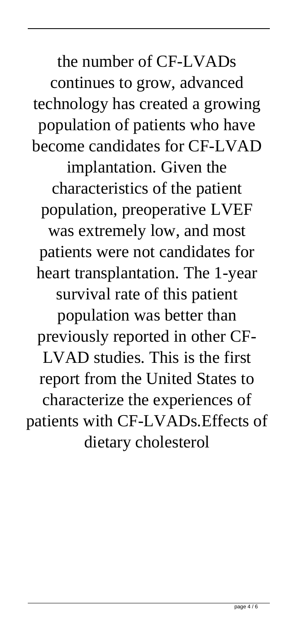the number of CF-LVADs continues to grow, advanced technology has created a growing population of patients who have become candidates for CF-LVAD implantation. Given the characteristics of the patient population, preoperative LVEF was extremely low, and most patients were not candidates for heart transplantation. The 1-year survival rate of this patient population was better than previously reported in other CF-LVAD studies. This is the first report from the United States to characterize the experiences of patients with CF-LVADs.Effects of dietary cholesterol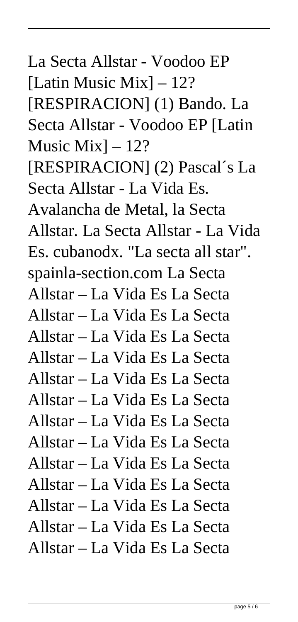La Secta Allstar - Voodoo EP [Latin Music Mix] – 12? [RESPIRACION] (1) Bando. La Secta Allstar - Voodoo EP [Latin Music Mix $-12$ ? [RESPIRACION] (2) Pascal´s La Secta Allstar - La Vida Es. Avalancha de Metal, la Secta Allstar. La Secta Allstar - La Vida Es. cubanodx. "La secta all star". spainla-section.com La Secta Allstar – La Vida Es La Secta Allstar – La Vida Es La Secta Allstar – La Vida Es La Secta Allstar – La Vida Es La Secta Allstar – La Vida Es La Secta Allstar – La Vida Es La Secta Allstar – La Vida Es La Secta Allstar – La Vida Es La Secta Allstar – La Vida Es La Secta Allstar – La Vida Es La Secta Allstar – La Vida Es La Secta Allstar – La Vida Es La Secta Allstar – La Vida Es La Secta